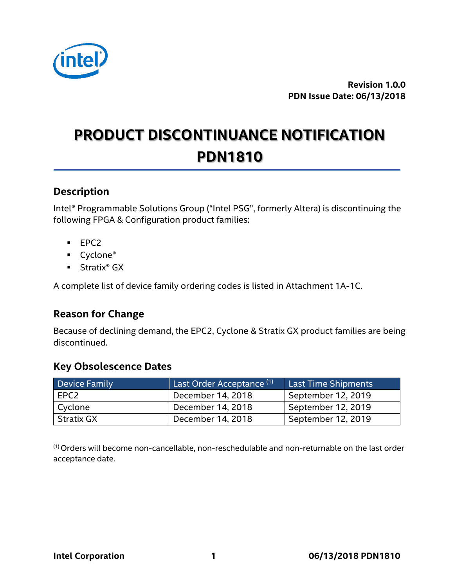

**Revision 1.0.0 PDN Issue Date: 06/13/2018**

# **PRODUCT DISCONTINUANCE NOTIFICATION PDN1810**

#### **Description**

Intel® Programmable Solutions Group ("Intel PSG", formerly Altera) is discontinuing the following FPGA & Configuration product families:

- EPC2
- Cyclone®
- Stratix<sup>®</sup> GX

A complete list of device family ordering codes is listed in Attachment 1A-1C.

#### **Reason for Change**

Because of declining demand, the EPC2, Cyclone & Stratix GX product families are being discontinued.

#### **Key Obsolescence Dates**

| Device Family | Last Order Acceptance <sup>(1)</sup> | <b>Last Time Shipments</b> |
|---------------|--------------------------------------|----------------------------|
| l EPC2        | December 14, 2018                    | September 12, 2019         |
| Cyclone       | December 14, 2018                    | September 12, 2019         |
| Stratix GX    | December 14, 2018                    | September 12, 2019         |

(1) Orders will become non-cancellable, non-reschedulable and non-returnable on the last order acceptance date.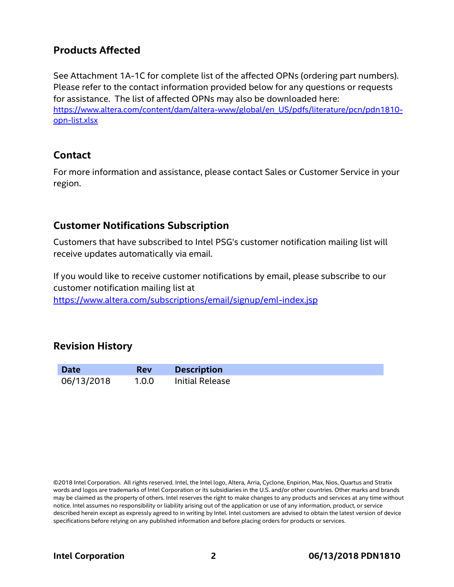#### **Products Affected**

See Attachment 1A-1C for complete list of the affected OPNs (ordering part numbers). Please refer to the contact information provided below for any questions or requests for assistance. The list of affected OPNs may also be downloaded here: [https://www.altera.com/content/dam/altera-www/global/en\\_US/pdfs/literature/pcn/pdn1810](https://www.altera.com/content/dam/altera-www/global/en_US/pdfs/literature/pcn/pdn1810-opn-list.xlsx) [opn-list.xlsx](https://www.altera.com/content/dam/altera-www/global/en_US/pdfs/literature/pcn/pdn1810-opn-list.xlsx)

#### **Contact**

For more information and assistance, please contact Sales or Customer Service in your region.

#### **Customer Notifications Subscription**

Customers that have subscribed to Intel PSG's customer notification mailing list will receive updates automatically via email.

If you would like to receive customer notifications by email, please subscribe to our customer notification mailing list at

<https://www.altera.com/subscriptions/email/signup/eml-index.jsp>

#### **Revision History**

| <b>Date</b> | <b>Rev</b> | <b>Description</b> |
|-------------|------------|--------------------|
| 06/13/2018  | 1.0.0      | Initial Release    |

©2018 Intel Corporation. All rights reserved. Intel, the Intel logo, Altera, Arria, Cyclone, Enpirion, Max, Nios, Quartus and Stratix words and logos are trademarks of Intel Corporation or its subsidiaries in the U.S. and/or other countries. Other marks and brands may be claimed as the property of others. Intel reserves the right to make changes to any products and services at any time without notice. Intel assumes no responsibility or liability arising out of the application or use of any information, product, or service described herein except as expressly agreed to in writing by Intel. Intel customers are advised to obtain the latest version of device specifications before relying on any published information and before placing orders for products or services.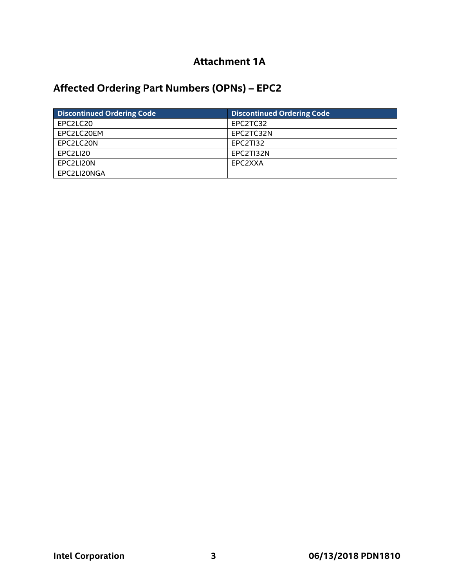### **Attachment 1A**

# **Affected Ordering Part Numbers (OPNs) – EPC2**

| <b>Discontinued Ordering Code</b> | <b>Discontinued Ordering Code</b> |
|-----------------------------------|-----------------------------------|
| EPC2LC20                          | EPC2TC32                          |
| EPC2LC20EM                        | EPC2TC32N                         |
| EPC2LC20N                         | EPC2TI32                          |
| EPC2LI20                          | EPC2TI32N                         |
| EPC2LI20N                         | EPC2XXA                           |
| EPC2LI20NGA                       |                                   |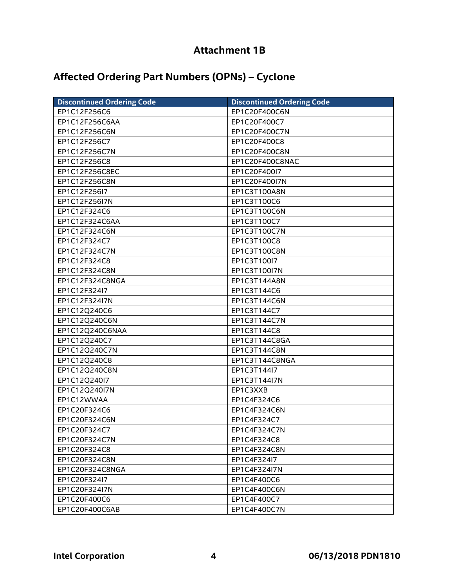## **Attachment 1B**

## **Affected Ordering Part Numbers (OPNs) – Cyclone**

| <b>Discontinued Ordering Code</b> | <b>Discontinued Ordering Code</b> |
|-----------------------------------|-----------------------------------|
| EP1C12F256C6                      | EP1C20F400C6N                     |
| EP1C12F256C6AA                    | EP1C20F400C7                      |
| EP1C12F256C6N                     | EP1C20F400C7N                     |
| EP1C12F256C7                      | EP1C20F400C8                      |
| EP1C12F256C7N                     | EP1C20F400C8N                     |
| EP1C12F256C8                      | EP1C20F400C8NAC                   |
| EP1C12F256C8EC                    | EP1C20F400I7                      |
| EP1C12F256C8N                     | EP1C20F400I7N                     |
| EP1C12F256I7                      | EP1C3T100A8N                      |
| EP1C12F256I7N                     | EP1C3T100C6                       |
| EP1C12F324C6                      | EP1C3T100C6N                      |
| EP1C12F324C6AA                    | EP1C3T100C7                       |
| EP1C12F324C6N                     | EP1C3T100C7N                      |
| EP1C12F324C7                      | EP1C3T100C8                       |
| EP1C12F324C7N                     | EP1C3T100C8N                      |
| EP1C12F324C8                      | EP1C3T100I7                       |
| EP1C12F324C8N                     | EP1C3T100I7N                      |
| EP1C12F324C8NGA                   | EP1C3T144A8N                      |
| EP1C12F324l7                      | EP1C3T144C6                       |
| EP1C12F324I7N                     | EP1C3T144C6N                      |
| EP1C12Q240C6                      | EP1C3T144C7                       |
| EP1C12Q240C6N                     | EP1C3T144C7N                      |
| EP1C12Q240C6NAA                   | EP1C3T144C8                       |
| EP1C12Q240C7                      | EP1C3T144C8GA                     |
| EP1C12Q240C7N                     | EP1C3T144C8N                      |
| EP1C12Q240C8                      | EP1C3T144C8NGA                    |
| EP1C12Q240C8N                     | EP1C3T144l7                       |
| EP1C12Q240I7                      | EP1C3T144I7N                      |
| EP1C12Q240I7N                     | EP1C3XXB                          |
| EP1C12WWAA                        | EP1C4F324C6                       |
| EP1C20F324C6                      | EP1C4F324C6N                      |
| EP1C20F324C6N                     | EP1C4F324C7                       |
| EP1C20F324C7                      | EP1C4F324C7N                      |
| EP1C20F324C7N                     | EP1C4F324C8                       |
| EP1C20F324C8                      | EP1C4F324C8N                      |
| EP1C20F324C8N                     | EP1C4F324I7                       |
| EP1C20F324C8NGA                   | EP1C4F324I7N                      |
| EP1C20F324l7                      | EP1C4F400C6                       |
| EP1C20F324I7N                     | EP1C4F400C6N                      |
| EP1C20F400C6                      | EP1C4F400C7                       |
| EP1C20F400C6AB                    | EP1C4F400C7N                      |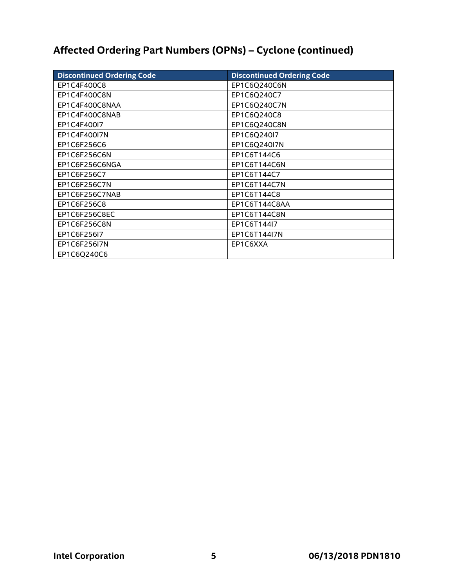# **Affected Ordering Part Numbers (OPNs) – Cyclone (continued)**

| <b>Discontinued Ordering Code</b> | <b>Discontinued Ordering Code</b> |
|-----------------------------------|-----------------------------------|
| EP1C4F400C8                       | EP1C6Q240C6N                      |
| EP1C4F400C8N                      | EP1C6Q240C7                       |
| EP1C4F400C8NAA                    | EP1C6Q240C7N                      |
| EP1C4F400C8NAB                    | EP1C6Q240C8                       |
| EP1C4F400I7                       | EP1C6Q240C8N                      |
| EP1C4F400I7N                      | EP1C6Q240I7                       |
| EP1C6F256C6                       | EP1C6Q240I7N                      |
| EP1C6F256C6N                      | EP1C6T144C6                       |
| EP1C6F256C6NGA                    | EP1C6T144C6N                      |
| EP1C6F256C7                       | EP1C6T144C7                       |
| EP1C6F256C7N                      | EP1C6T144C7N                      |
| EP1C6F256C7NAB                    | EP1C6T144C8                       |
| EP1C6F256C8                       | EP1C6T144C8AA                     |
| EP1C6F256C8EC                     | EP1C6T144C8N                      |
| EP1C6F256C8N                      | EP1C6T144I7                       |
| EP1C6F256I7                       | EP1C6T144I7N                      |
| EP1C6F256I7N                      | EP1C6XXA                          |
| EP1C6Q240C6                       |                                   |